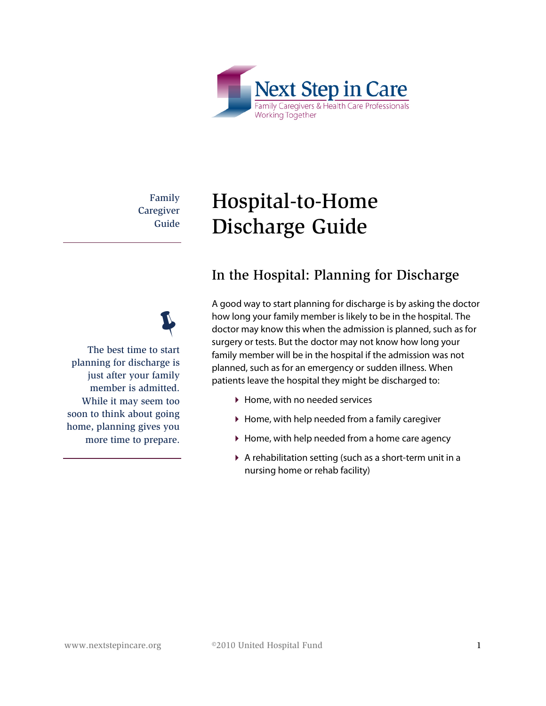

Family **Caregiver** Guide

# Hospital-to-Home Discharge Guide

#### In the Hospital: Planning for Discharge

A good way to start planning for discharge is by asking the doctor how long your family member is likely to be in the hospital. The doctor may know this when the admission is planned, such as for surgery or tests. But the doctor may not know how long your family member will be in the hospital if the admission was not planned, such as for an emergency or sudden illness. When patients leave the hospital they might be discharged to:

- ▶ Home, with no needed services
- ▶ Home, with help needed from a family caregiver
- ▶ Home, with help needed from a home care agency
- A rehabilitation setting (such as a short-term unit in a nursing home or rehab facility)



The best time to start planning for discharge is just after your family member is admitted. While it may seem too soon to think about going home, planning gives you more time to prepare.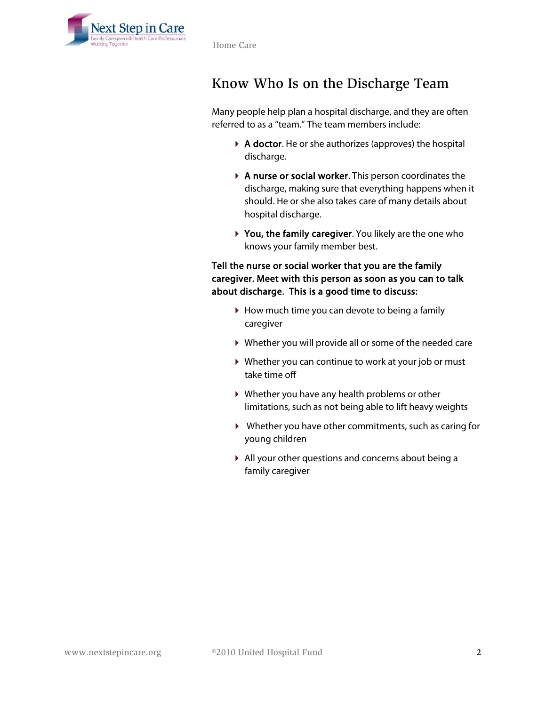

#### Know Who Is on the Discharge Team

Many people help plan a hospital discharge, and they are often referred to as a "team." The team members include:

- $\triangleright$  **A doctor.** He or she authorizes (approves) the hospital discharge.
- A nurse or social worker. This person coordinates the discharge, making sure that everything happens when it should. He or she also takes care of many details about hospital discharge.
- ▶ You, the family caregiver. You likely are the one who knows your family member best.

#### Tell the nurse or social worker that you are the family caregiver. Meet with this person as soon as you can to talk about discharge. This is a good time to discuss:

- $\blacktriangleright$  How much time you can devote to being a family caregiver
- Whether you will provide all or some of the needed care
- Whether you can continue to work at your job or must take time off
- Whether you have any health problems or other limitations, such as not being able to lift heavy weights
- Whether you have other commitments, such as caring for young children
- All your other questions and concerns about being a family caregiver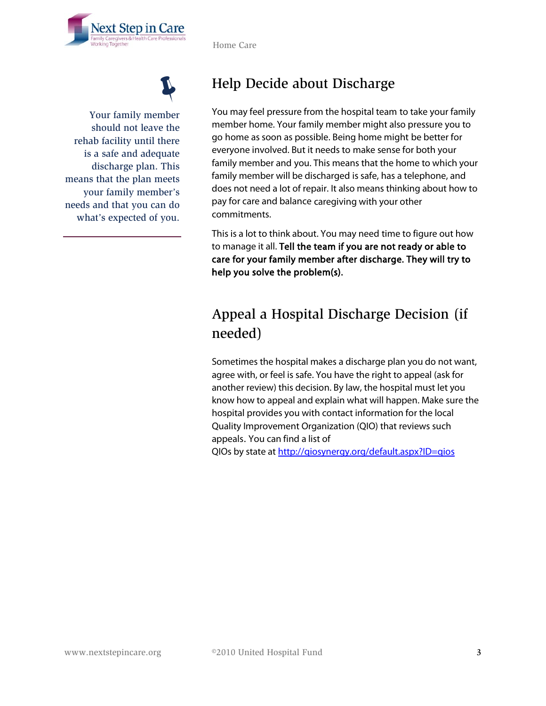



Your family member should not leave the rehab facility until there is a safe and adequate discharge plan. This means that the plan meets your family member's needs and that you can do what's expected of you.

## Help Decide about Discharge

You may feel pressure from the hospital team to take your family member home. Your family member might also pressure you to go home as soon as possible. Being home might be better for everyone involved. But it needs to make sense for both your family member and you. This means that the home to which your family member will be discharged is safe, has a telephone, and does not need a lot of repair. It also means thinking about how to pay for care and balance caregiving with your other commitments.

This is a lot to think about. You may need time to figure out how to manage it all. Tell the team if you are not ready or able to care for your family member after discharge. They will try to help you solve the problem(s).

# Appeal a Hospital Discharge Decision (if needed)

Sometimes the hospital makes a discharge plan you do not want, agree with, or feel is safe. You have the right to appeal (ask for another review) this decision. By law, the hospital must let you know how to appeal and explain what will happen. Make sure the hospital provides you with contact information for the local Quality Improvement Organization (QIO) that reviews such appeals. You can find a list of

QIOs by state at http://giosynergy.org/default.aspx?ID=gios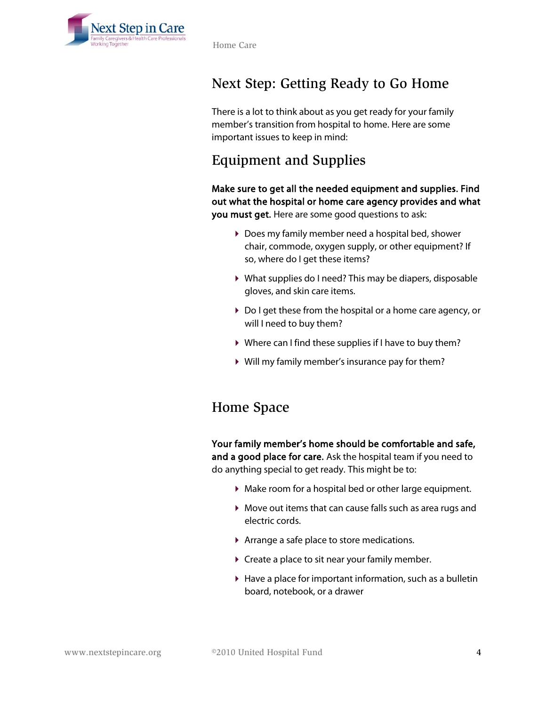

Home Care

# Next Step: Getting Ready to Go Home

There is a lot to think about as you get ready for your family member's transition from hospital to home. Here are some important issues to keep in mind:

#### Equipment and Supplies

Make sure to get all the needed equipment and supplies. Find out what the hospital or home care agency provides and what you must get. Here are some good questions to ask:

- Does my family member need a hospital bed, shower chair, commode, oxygen supply, or other equipment? If so, where do I get these items?
- What supplies do I need? This may be diapers, disposable gloves, and skin care items.
- Do I get these from the hospital or a home care agency, or will I need to buy them?
- Where can I find these supplies if I have to buy them?
- Will my family member's insurance pay for them?

#### Home Space

Your family member's home should be comfortable and safe, and a good place for care. Ask the hospital team if you need to do anything special to get ready. This might be to:

- Make room for a hospital bed or other large equipment.
- Move out items that can cause falls such as area rugs and electric cords.
- Arrange a safe place to store medications.
- ▶ Create a place to sit near your family member.
- $\blacktriangleright$  Have a place for important information, such as a bulletin board, notebook, or a drawer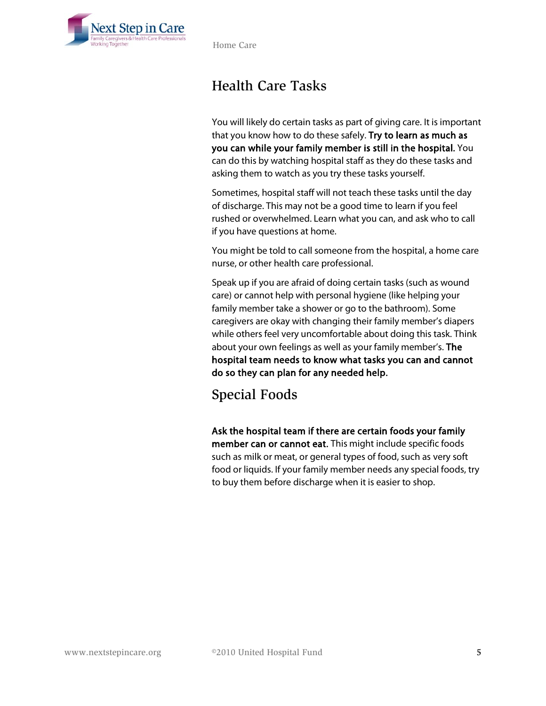

Home Care

#### Health Care Tasks

You will likely do certain tasks as part of giving care. It is important that you know how to do these safely. Try to learn as much as you can while your family member is still in the hospital. You can do this by watching hospital staff as they do these tasks and asking them to watch as you try these tasks yourself.

Sometimes, hospital staff will not teach these tasks until the day of discharge. This may not be a good time to learn if you feel rushed or overwhelmed. Learn what you can, and ask who to call if you have questions at home.

You might be told to call someone from the hospital, a home care nurse, or other health care professional.

Speak up if you are afraid of doing certain tasks (such as wound care) or cannot help with personal hygiene (like helping your family member take a shower or go to the bathroom). Some caregivers are okay with changing their family member's diapers while others feel very uncomfortable about doing this task. Think about your own feelings as well as your family member's. The hospital team needs to know what tasks you can and cannot do so they can plan for any needed help.

Special Foods

Ask the hospital team if there are certain foods your family member can or cannot eat. This might include specific foods such as milk or meat, or general types of food, such as very soft food or liquids. If your family member needs any special foods, try to buy them before discharge when it is easier to shop.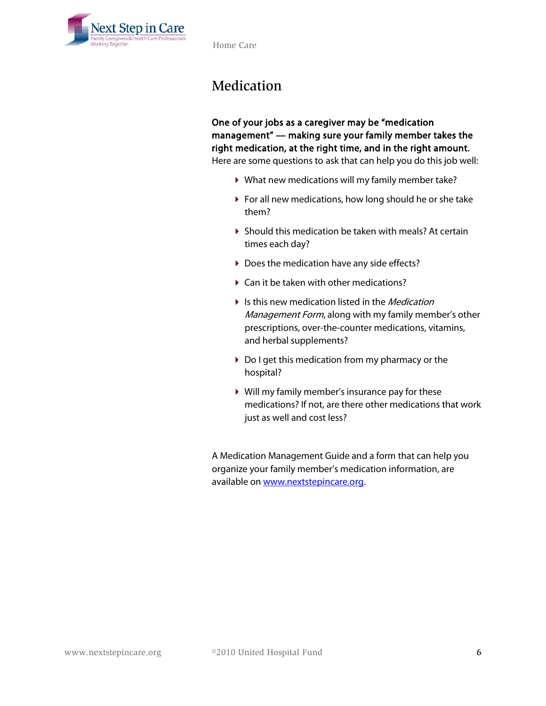

#### Medication

One of your jobs as a caregiver may be "medication management" — making sure your family member takes the right medication, at the right time, and in the right amount. Here are some questions to ask that can help you do this job well:

- What new medications will my family member take?
- For all new medications, how long should he or she take them?
- Should this medication be taken with meals? At certain times each day?
- ▶ Does the medication have any side effects?
- ▶ Can it be taken with other medications?
- If Is this new medication listed in the *Medication* Management Form, along with my family member's other prescriptions, over-the-counter medications, vitamins, and herbal supplements?
- ▶ Do I get this medication from my pharmacy or the hospital?
- Will my family member's insurance pay for these medications? If not, are there other medications that work just as well and cost less?

A Medication Management Guide and a form that can help you organize your family member's medication information, are available on [www.nextstepincare.org.](http://nextstepincare.org/left_top_menu/Caregiver_Home/Medication_Management_Guide/)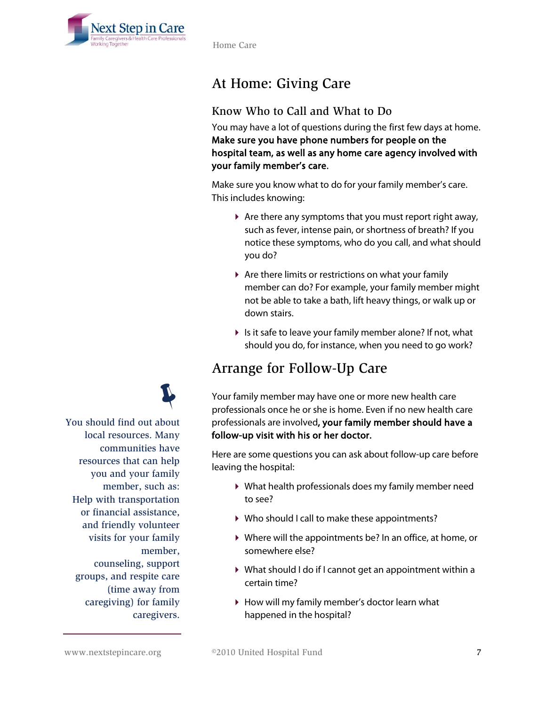

Home Care

# At Home: Giving Care

#### Know Who to Call and What to Do

You may have a lot of questions during the first few days at home. Make sure you have phone numbers for people on the hospital team, as well as any home care agency involved with your family member's care.

Make sure you know what to do for your family member's care. This includes knowing:

- $\blacktriangleright$  Are there any symptoms that you must report right away, such as fever, intense pain, or shortness of breath? If you notice these symptoms, who do you call, and what should you do?
- Are there limits or restrictions on what your family member can do? For example, your family member might not be able to take a bath, lift heavy things, or walk up or down stairs.
- $\triangleright$  Is it safe to leave your family member alone? If not, what should you do, for instance, when you need to go work?

#### Arrange for Follow-Up Care

Your family member may have one or more new health care professionals once he or she is home. Even if no new health care professionals are involved, your family member should have a follow-up visit with his or her doctor.

Here are some questions you can ask about follow-up care before leaving the hospital:

- What health professionals does my family member need to see?
- ▶ Who should I call to make these appointments?
- Where will the appointments be? In an office, at home, or somewhere else?
- What should I do if I cannot get an appointment within a certain time?
- How will my family member's doctor learn what happened in the hospital?



You should find out about local resources. Many communities have resources that can help you and your family member, such as: Help with transportation or financial assistance, and friendly volunteer visits for your family member, counseling, support groups, and respite care (time away from caregiving) for family caregivers.